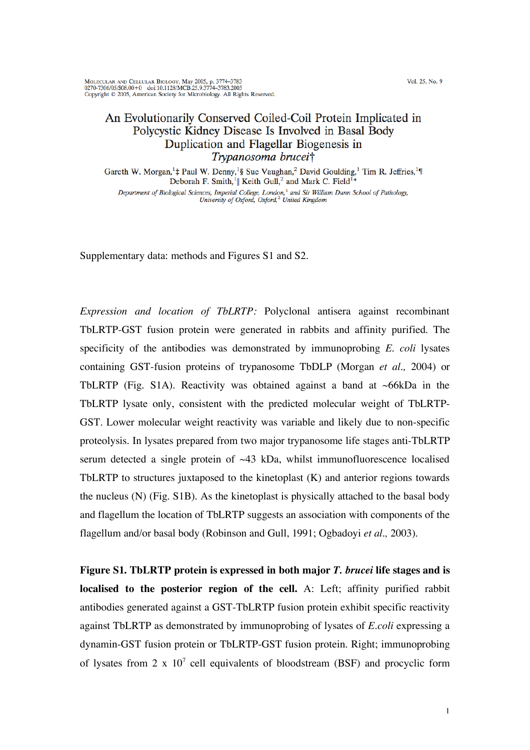Vol. 25, No. 9

MOLECULAR AND CELLULAR BIOLOGY, May 2005, p. 3774-3783<br>0270-7306/05/\$08.00+0 doi:10.1128/MCB.25.9.3774-3783.2005 Copyright © 2005, American Society for Microbiology. All Rights Reserved.

## An Evolutionarily Conserved Coiled-Coil Protein Implicated in Polycystic Kidney Disease Is Involved in Basal Body Duplication and Flagellar Biogenesis in Trypanosoma brucei†

Gareth W. Morgan,<sup>1</sup>‡ Paul W. Denny,<sup>1</sup>§ Sue Vaughan,<sup>2</sup> David Goulding,<sup>1</sup> Tim R. Jeffries,<sup>1</sup>¶ Deborah F. Smith,<sup>1</sup>|| Keith Gull,<sup>2</sup> and Mark C. Field<sup>1</sup> Department of Biological Sciences, Imperial College, London,<sup>1</sup> and Sir William Dunn School of Pathology,<br>University of Oxford, Oxford,<sup>2</sup> United Kingdom

Supplementary data: methods and Figures S1 and S2.

*Expression and location of TbLRTP:* Polyclonal antisera against recombinant TbLRTP-GST fusion protein were generated in rabbits and affinity purified. The specificity of the antibodies was demonstrated by immunoprobing *E. coli* lysates containing GST-fusion proteins of trypanosome TbDLP (Morgan *et al.,* 2004) or TbLRTP (Fig. S1A). Reactivity was obtained against a band at  $\sim$ 66kDa in the TbLRTP lysate only, consistent with the predicted molecular weight of TbLRTP-GST. Lower molecular weight reactivity was variable and likely due to non-specific proteolysis. In lysates prepared from two major trypanosome life stages anti-TbLRTP serum detected a single protein of  $\sim$ 43 kDa, whilst immunofluorescence localised TbLRTP to structures juxtaposed to the kinetoplast (K) and anterior regions towards the nucleus (N) (Fig. S1B). As the kinetoplast is physically attached to the basal body and flagellum the location of TbLRTP suggests an association with components of the flagellum and/or basal body (Robinson and Gull, 1991; Ogbadoyi *et al.,* 2003).

**Figure S1. TbLRTP protein is expressed in both major** *T. brucei* **life stages and is localised to the posterior region of the cell.** A: Left; affinity purified rabbit antibodies generated against a GST-TbLRTP fusion protein exhibit specific reactivity against TbLRTP as demonstrated by immunoprobing of lysates of *E.coli* expressing a dynamin-GST fusion protein or TbLRTP-GST fusion protein. Right; immunoprobing of lysates from 2 x  $10^7$  cell equivalents of bloodstream (BSF) and procyclic form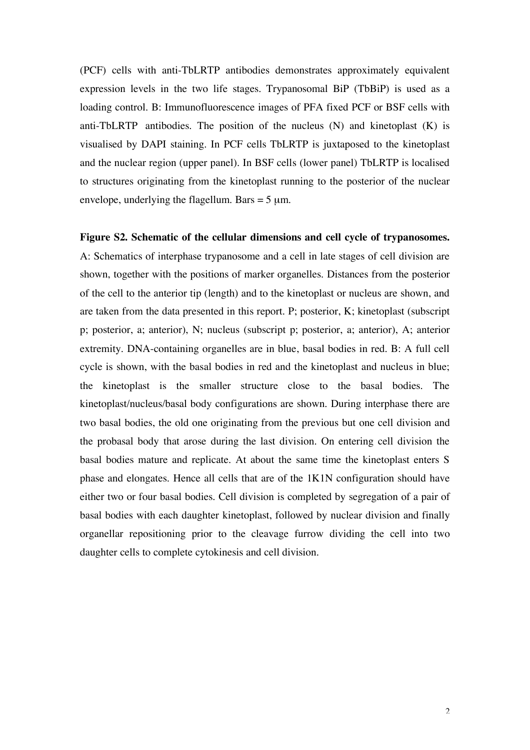(PCF) cells with anti-TbLRTP antibodies demonstrates approximately equivalent expression levels in the two life stages. Trypanosomal BiP (TbBiP) is used as a loading control. B: Immunofluorescence images of PFA fixed PCF or BSF cells with anti-TbLRTP antibodies. The position of the nucleus  $(N)$  and kinetoplast  $(K)$  is visualised by DAPI staining. In PCF cells TbLRTP is juxtaposed to the kinetoplast and the nuclear region (upper panel). In BSF cells (lower panel) TbLRTP is localised to structures originating from the kinetoplast running to the posterior of the nuclear envelope, underlying the flagellum. Bars  $= 5 \mu m$ .

## **Figure S2. Schematic of the cellular dimensions and cell cycle of trypanosomes.**

A: Schematics of interphase trypanosome and a cell in late stages of cell division are shown, together with the positions of marker organelles. Distances from the posterior of the cell to the anterior tip (length) and to the kinetoplast or nucleus are shown, and are taken from the data presented in this report. P; posterior, K; kinetoplast (subscript p; posterior, a; anterior), N; nucleus (subscript p; posterior, a; anterior), A; anterior extremity. DNA-containing organelles are in blue, basal bodies in red. B: A full cell cycle is shown, with the basal bodies in red and the kinetoplast and nucleus in blue; the kinetoplast is the smaller structure close to the basal bodies. The kinetoplast/nucleus/basal body configurations are shown. During interphase there are two basal bodies, the old one originating from the previous but one cell division and the probasal body that arose during the last division. On entering cell division the basal bodies mature and replicate. At about the same time the kinetoplast enters S phase and elongates. Hence all cells that are of the 1K1N configuration should have either two or four basal bodies. Cell division is completed by segregation of a pair of basal bodies with each daughter kinetoplast, followed by nuclear division and finally organellar repositioning prior to the cleavage furrow dividing the cell into two daughter cells to complete cytokinesis and cell division.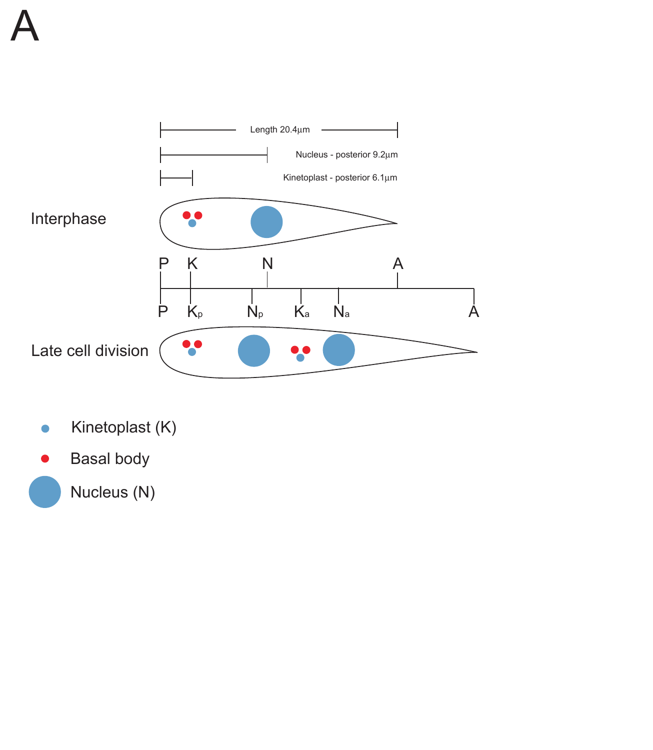

- Kinetoplast (K)  $\bullet$
- Basal body

Nucleus (N)